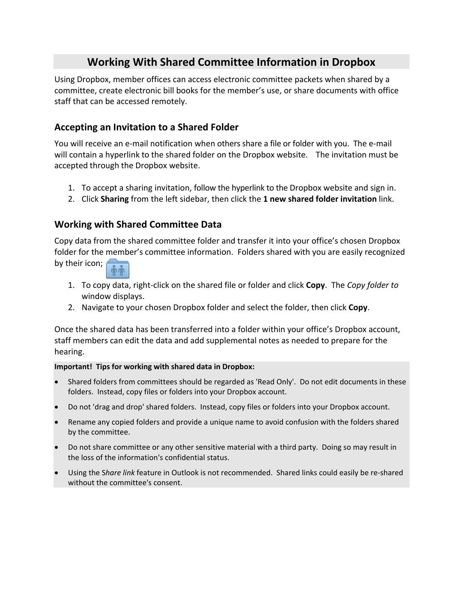# **Working With Shared Committee Information in Dropbox**

Using Dropbox, member offices can access electronic committee packets when shared by a committee, create electronic bill books for the member's use, or share documents with office staff that can be accessed remotely.

## **Accepting an Invitation to a Shared Folder**

You will receive an e‐mail notification when others share a file or folder with you. The e‐mail will contain a hyperlink to the shared folder on the Dropbox website. The invitation must be accepted through the Dropbox website.

- 1. To accept a sharing invitation, follow the hyperlink to the Dropbox website and sign in.
- 2. Click **Sharing** from the left sidebar, then click the **1 new shared folder invitation** link.

## **Working with Shared Committee Data**

Copy data from the shared committee folder and transfer it into your office's chosen Dropbox folder for the member's committee information. Folders shared with you are easily recognized



- 1. To copy data, right‐click on the shared file or folder and click **Copy**. The *Copy folder to* window displays.
- 2. Navigate to your chosen Dropbox folder and select the folder, then click **Copy**.

Once the shared data has been transferred into a folder within your office's Dropbox account, staff members can edit the data and add supplemental notes as needed to prepare for the hearing.

#### **Important! Tips for working with shared data in Dropbox:**

- Shared folders from committees should be regarded as 'Read Only'. Do not edit documents in these folders. Instead, copy files or folders into your Dropbox account.
- Do not 'drag and drop' shared folders. Instead, copy files or folders into your Dropbox account.
- Rename any copied folders and provide a unique name to avoid confusion with the folders shared by the committee.
- Do not share committee or any other sensitive material with a third party. Doing so may result in the loss of the information's confidential status.
- Using the S*hare link* feature in Outlook is not recommended. Shared links could easily be re‐shared without the committee's consent.